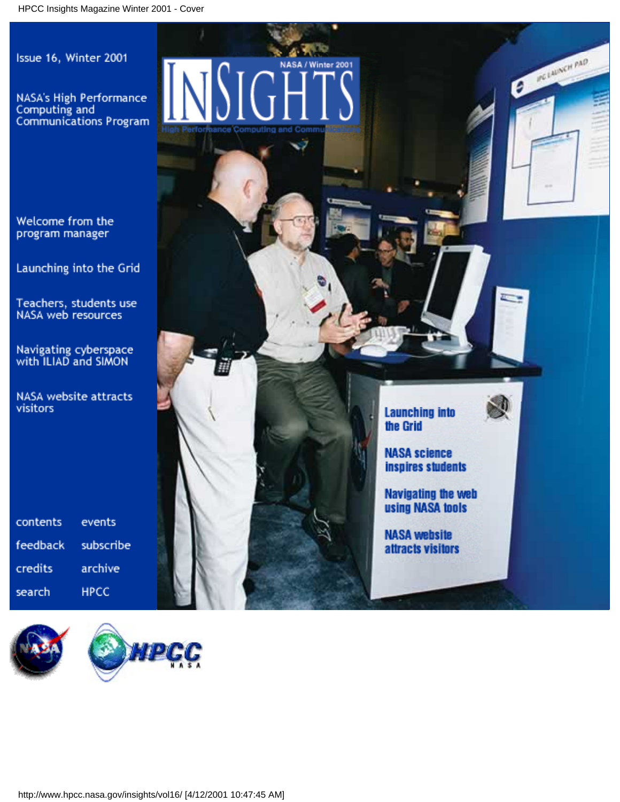Issue 16, Winter 2001

NASA's High Performance Computing and Communications Program

Welcome from the program manager

Launching into the Grid

Teachers, students use<br>NASA web resources

Navigating cyberspace<br>with ILIAD and SIMON

NASA website attracts visitors

contents events feedback subscribe credits archive **HPCC** search



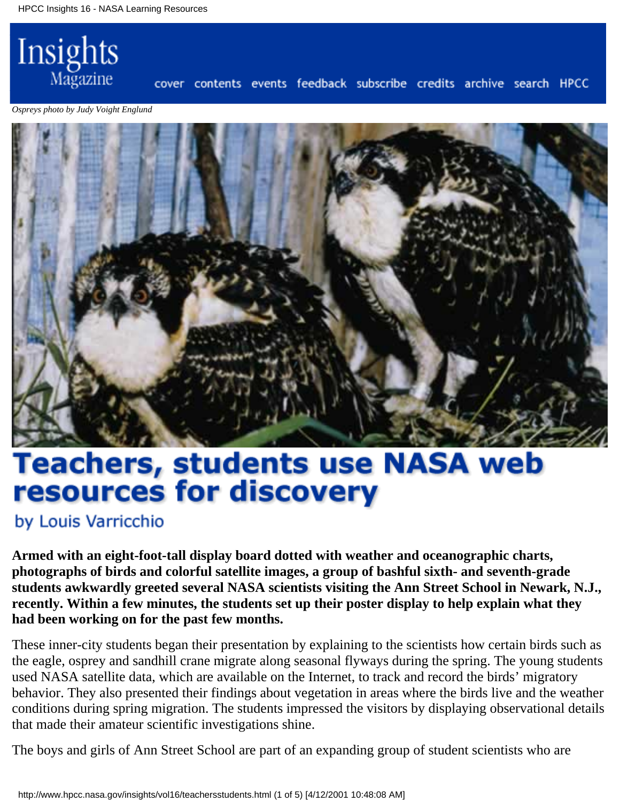

cover contents events feedback subscribe credits archive search HPCC

*Ospreys photo by Judy Voight Englund*



# **Teachers, students use NASA web** resources for discovery

by Louis Varricchio

**Armed with an eight-foot-tall display board dotted with weather and oceanographic charts, photographs of birds and colorful satellite images, a group of bashful sixth- and seventh-grade students awkwardly greeted several NASA scientists visiting the Ann Street School in Newark, N.J., recently. Within a few minutes, the students set up their poster display to help explain what they had been working on for the past few months.**

These inner-city students began their presentation by explaining to the scientists how certain birds such as the eagle, osprey and sandhill crane migrate along seasonal flyways during the spring. The young students used NASA satellite data, which are available on the Internet, to track and record the birds' migratory behavior. They also presented their findings about vegetation in areas where the birds live and the weather conditions during spring migration. The students impressed the visitors by displaying observational details that made their amateur scientific investigations shine.

The boys and girls of Ann Street School are part of an expanding group of student scientists who are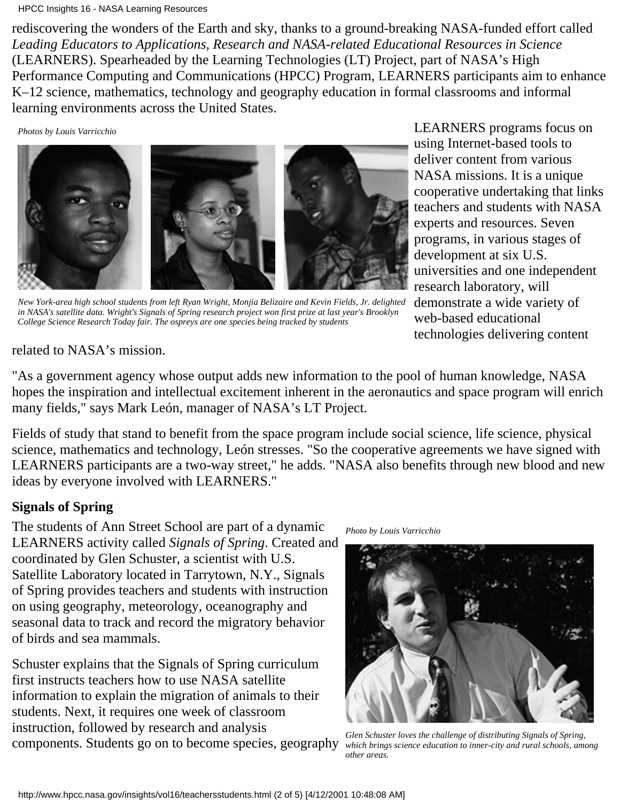#### HPCC Insights 16 - NASA Learning Resources

rediscovering the wonders of the Earth and sky, thanks to a ground-breaking NASA-funded effort called *Leading Educators to Applications, Research and NASA-related Educational Resources in Science* (LEARNERS). Spearheaded by the Learning Technologies (LT) Project, part of NASA's High Performance Computing and Communications (HPCC) Program, LEARNERS participants aim to enhance K–12 science, mathematics, technology and geography education in formal classrooms and informal learning environments across the United States.

*Photos by Louis Varricchio*



*New York-area high school students from left Ryan Wright, Monjia Belizaire and Kevin Fields, Jr. delighted in NASA's satellite data. Wright's Signals of Spring research project won first prize at last year's Brooklyn College Science Research Today fair. The ospreys are one species being tracked by students*

LEARNERS programs focus on using Internet-based tools to deliver content from various NASA missions. It is a unique cooperative undertaking that links teachers and students with NASA experts and resources. Seven programs, in various stages of development at six U.S. universities and one independent research laboratory, will demonstrate a wide variety of web-based educational technologies delivering content

related to NASA's mission.

"As a government agency whose output adds new information to the pool of human knowledge, NASA hopes the inspiration and intellectual excitement inherent in the aeronautics and space program will enrich many fields," says Mark León, manager of NASA's LT Project.

Fields of study that stand to benefit from the space program include social science, life science, physical science, mathematics and technology, León stresses. "So the cooperative agreements we have signed with LEARNERS participants are a two-way street," he adds. "NASA also benefits through new blood and new ideas by everyone involved with LEARNERS."

### **Signals of Spring**

The students of Ann Street School are part of a dynamic LEARNERS activity called *Signals of Spring*. Created and coordinated by Glen Schuster, a scientist with U.S. Satellite Laboratory located in Tarrytown, N.Y., Signals of Spring provides teachers and students with instruction on using geography, meteorology, oceanography and seasonal data to track and record the migratory behavior of birds and sea mammals.

Schuster explains that the Signals of Spring curriculum first instructs teachers how to use NASA satellite information to explain the migration of animals to their students. Next, it requires one week of classroom instruction, followed by research and analysis components. Students go on to become species, geography

*Photo by Louis Varricchio*



*Glen Schuster loves the challenge of distributing Signals of Spring, which brings science education to inner-city and rural schools, among other areas.*